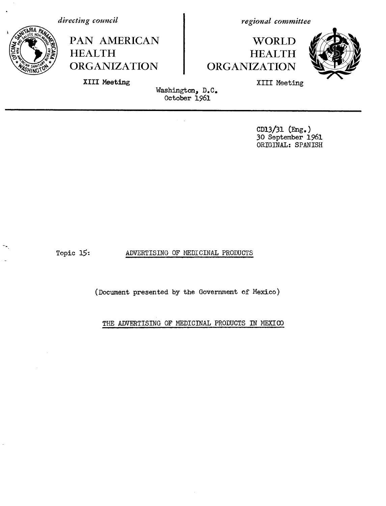*directing council*



PAN AMERICAN HEALTH ORGANIZATION

*regional committee*

## **WORLD** HEALTH ORGANIZATION



**XIII Meeting**

XIII Meeting

Washington, D.C. October 1961

> CD13/31 (Eng.) 30 September 1961 ORIGINAL: SPANISH

Topic 15:

ADVERTISING OF MEDICINAL PRODUCTS

(Document presented by the Government of Mexico)

THE ADVERTISING OF MEDICINAL PRODUCTS IN MEXICO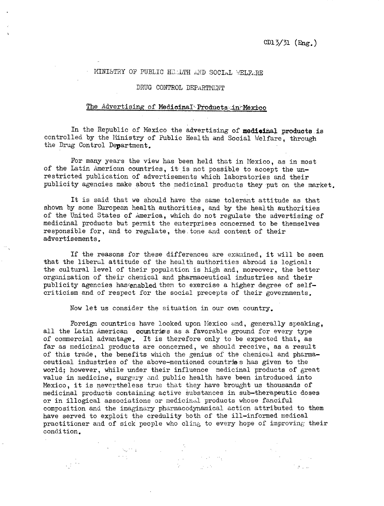$\mathcal{F}(\mathcal{F}_n)$  is

## MINISTRY OF PUBLIC HELLTH AND SOCIAL WELFARE

## DRUG CONTROL DEPaRTIVENT

## The Advertising of **Medicinal Products:.in.?^MExico**

In the Republic of Mexico the advertising of **medioinal products.is** controlled by the Ministry of Public Health and Social Welfare, through the Drug Control Department.

For many years the view has been held that in Mexico, as in most of the Latin American countries, it is not possible to accept the unrestricted publication of advertisements which laboratories and their publicity agencies make about the medicinal products they put on the market.

It is said that we should have the same tolerant attitude as that shown by some European health authorities, and by the health authorities of the United States of America, which do not regulate the advertising of medicinal products but permit the enterprises concerned to be themselves responsible for, and to regulate, the.tone and content of their advertisements.

If the reasons for these differences are examined, it will be seen that the liberal attitude of the health authorities abroad is logical: the cultural level of their population is high and, moreover, the better organization of their chemical and pharmaceutical industries and their publicity agencies has enabled them to exercise a higher degree of selfcriticism and of respect for the social precepts of their governments.

Now let us consider the situation in our own country.

Foreign countries have looked upon Mexico and, generally speaking, all the Latin American countries as a favorable ground for every type of commercial advantage. It is therefore only to be expected that, as far as medicinal products are concerned, we should receive, as a result of this trade, the benefits which the genius of the chemical and pharmaceutical industries of the above-mentioned countries has given to the world; however, while under their influence medicinal products of great value in medicine, surgery and public health have been introduced into Mexico, it is nevertheless true that they have brought us thousands of medicinal products containing active substances in sub-therapeutic doses or in illogical associations or medicinal products whose fanciful composition and the imaginary pharmacodynamical action attributed to them have served to exploit the credulity both of the ill-informed medical practitioner and of sick people who cling to every hope of improving their condition.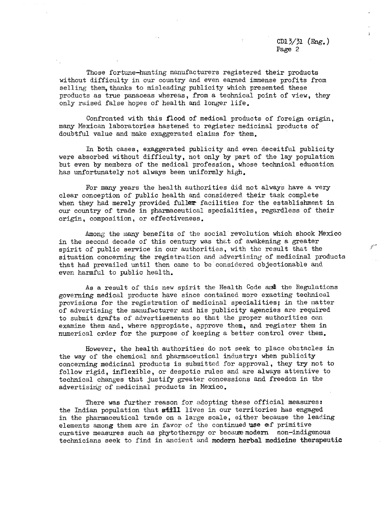CD13/51 (Eng.) Page 2

 $\mathscr{C}$ 

Those fortune-hunting manufacturers registered their products without difficulty in our country and even earned immense profits from selling them, thanks to misleading publicity which presented these products as true panaceas whereas, from a technical point of view, they only raised false hopes of health and longer life.

Confronted with this flood of medical products of foreign origin, many Mexican laboratories hastened to register medicinal products of doubtful value and make exaggerated claims for them.

In both cases, exaggerated publicity and even deceitful publicity were absorbed without difficulty, not only by part of the lay population but even by members of the medical profession, whose technical education has unfortunately not always been uniformly high.

For many years the health authorities did not always have a very clear conception of public health and considered their task complete when they had merely provided fuller facilities for the establishment in our country of trade in pharmaceutical specialities, regardless of their origin, composition, or effectiveness.

Among the many benefits of the social revolution which shook Mexico in the second decade of this century was that of awakening a greater spirit of public service in our authorities, with the result that the situation concerning the registration and advertising of medicinal products that had prevailed until then came to be considered objectionable and even harmful to public health.

As a result of this new spirit the Health Code and the Regulations governing medical products have since contained more exacting technical provisions for the registration of medicinal specialities; in the matter of advertising the manufacturer and his publicity agencies are required to submit drafts of advertisements so that the proper authorities can examine them and, where appropiate, approve them, and register them in numerical order for the purpose of keeping a better control over them.

However, the health authorities do not seek to place obstacles in the way of the chemical and pharmaceutical industry: when publicity concerning medicinal products is submitted for approval, they try not to follow rigid, inflexible, or despotic rules and are always attentive to technical changes that justify greater concessions and freedom in the advertising of medicinal products in Mexico.

There was further reason for adopting these official measures: the Indian population that still lives in our territories has engaged in the pharmaceutical trade on a large scale, either because the leading elements among them are in favor of the continued use of primitive curative measures such as phytotherapy or because modern non-indigenous technicians seek to find in ancient and **modern herbal medicine** therapeutic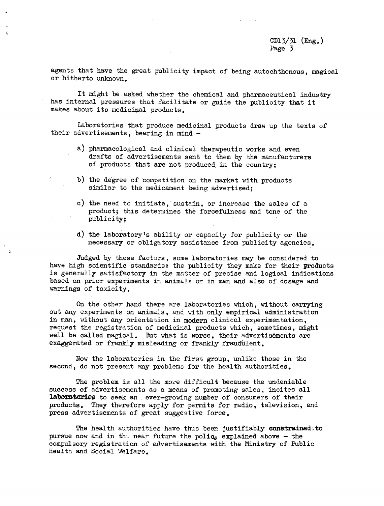agents that have the great publicity impact of being autochthonous, magical or hitherto unknown.

It might be asked whether the chemical and pharmaceutical industry has internal pressures that facilitate or guide the publicity that it makes about its medicinal products.

Laboratories that produce medicinal products draw up the texts of their advertisements, bearing in mind -

- a) pharmacological and clinical therapeutic works and even drafts of advertisements sent to them by the manufacturers of products that are not produced in the country;
- b) the degree of competition on the market with products similar to the medicament being advertised;
- c) the need to initiate, sustain, or increase the sales of a product; this determines the forcefulness and tone of the publicity;
- d) the laboratory's ability or capacity for publicity or the necessary or obligatory assistance from publicity agencies.

Judged by these factors, some laboratories may be considered to have high scientific standards: the publicity they make for their products is generally satisfactory in the matter of precise and logical indications based on prior experiments in animals or in man and also of dosage and warnings of toxicity.

On the other hand there are laboratories which, without carrying out any experiments on animals, end with only empirical administration in man, without any orientation in modern clinical experimentation, request the registration of medicinal products which, sometimes, might well be called magical. But what is worse, their advertisements are exaggerated or frankly misleading or frankly fraudulent.

Now the laboratories in the first group, unlike those in the second, do not present any problems for the health authorities.

The problem is all the more difficult because the undeniable success of advertisements as a means of promoting sales, incites all **14boratories** to seek an ever-growing number of consumers of their products. They therefore apply for permits for radio, television, and press advertisements of great suggestive force.

The health authorities have thus been justifiably **constrained, to** pursue now and in the near future the polic, explained above - the compulsory registration of advertisements with the Ministry of Public Health and Social Welfare.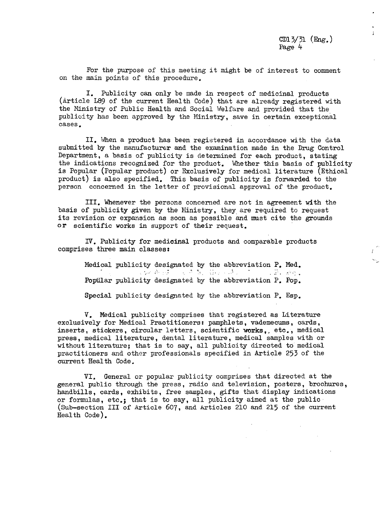$\mathbf{A}$ 

 $\bar{I}$ 

For the purpose of this meeting it might be of interest to comment on the main points of this procedure.

I. Publicity can only be made in respect of medicinal products (Article L89 of the current Health Code) that are already registered with the Ministry of Public Health and Social Welfare and provided that the publicity has been approved by the Ministry, save in certain exceptional cases.

II. When a product has been registered in accordance with the data submitted by the manufacturer and the examination made in the Drug Control Department, a basis of publicity is determined for each product, stating the indications recognized for the product. Whether this basis of publicity is Popular (Popular product) or Exclusively for medical literature (Ethical product) is also specified. This basis of publicity is forwarded to the person concerned in the letter of provisional approval of the product.

III. Whenever the persons concerned are not in agreement with the basis of publicity given by the Ministry, they are required to request its revision or expansion as soon as possible and must cite the grounds or scientific works in support of their request.

IV. Publicity for medicinal products and comparable products comprises three main classes:

> Medical publicity designated by the abbreviation  $P_{\bullet}$  Med.<br> $\mathbb{R}$ ,  $\mathbb{R}$ ,  $\mathbb{R}$ Poptilar publicity designated by the abbreviation P. Pop.

> Special publicity designated by the abbreviation P. Esp.

V. Medical publicity comprises that registered as Literature exclusively for Medical Practitioners: pamphlets, vademecums, cards, inserts, stickers, circular letters, scientific works,, etc., medical press, medical literature, dental literature, medical samples with or without literature; that is to say, all publicity directed to medical practitioners and other professionals specified in Article 253 of the current Health Code.

VI. General or popular publicity comprises that directed at the general public through the press, radio and television, posters, brochures, handbills, cards, exhibits, free samples, gifts that display indications or formulas, etc.; that is to say, all publicity aimed at the public (Sub-section III of Article 607, and Articles 210 and 215 of the current Health Code).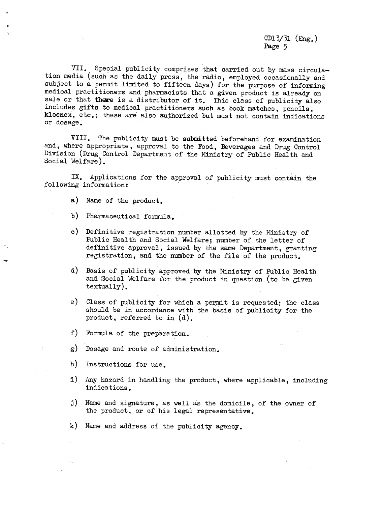CD13/31 (Eng.) Page 5

VII. Special publicity comprises that carried out by mass circulation media (such as the daily press, the radio, employed occasionally and subject to a permit limited to fifteen days) for the purpose of informing medical practitioners and pharmacists that a given product is already on sale or that there is a distributor of it. This class of publicity also includes gifts to medical practitioners such as book matches, pencils, kleenex, etc.; these are also authorized but must not contain indications or dosage.

VIII. The publicity must be submitted beforehand for examination and, where appropriate, approval to the Food, Beverages and Drug Control Division (Drug Control Department of the Ministry of Public Health and Social Welfare).

IX. Applications for the approval of publicity must contain the following information:

- a) Name of the product.
- b) Pharmaceutical formula.
- c) Definitive registration number allotted by the Ministry of Public Health and Social Welfare; number of the letter of definitive approval, issued by the same Department, granting registration, and the number of the file of the product.
- d) Basis of publicity approved by the Ministry of Public Health and Social Welfare for the product in question (to be given textually).
- e) Class of publicity for which a permit is requested; the class should be in accordance with the basis of publicity for the product, referred to in (d).
- f) Formula of the preparation.
- g) Dosage and route of administration.
- h) Instructions for use.
- i) Any hazard in handling the product, where applicable, including indications.
- j) Name and signature, as well as the domicile, of the owner of the product, or of his legal representative.
- k) Name and address of the publicity agency.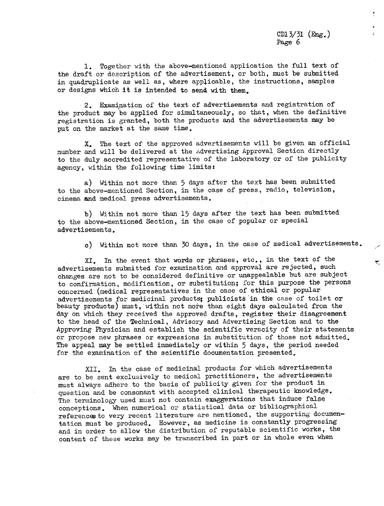CD13/31 (Eng.) Page 6

 $\ddot{\epsilon}$ 

₹.

1. Together with the above-mentioned application the full text of the draft or description of the advertisement, or both, must be submitted in quadruplicate as well as, where applicable, the instructions, samples or designs which it is intended to send with them,

2. Examination of the text of advertisements and registration of the product may be applied for simultaneously, so that, when the definitive registration is granted, both the products and the advertisements may be put on the market at the same time,

X. The text of the approved advertisements will be given an official number and will be delivered at the Advertising Approval Section directly to the duly accredited representative of the laboratory or of the publicity agency, within the following time limits:

a) Within not more than 5 days after the text has been submitted to the above-mentioned Section, in the case of press, radio, television, cinema and medical press advertisements.

b) Within not more than 15 days after the text has been submitted to the above-mentioned Section, in the case of popular or special advertisements.

c) Within not more than 30 days, in the case of medical advertisements.

XI. In the event that words or phrases, etc., in the text of the advertisements submitted for examination and approval are rejected, such changes are not to be considered definitive or unappealable but are subject to confirmation, modification, or substitution; for this purpose the persons concerned (medical representatives in the case of ethical or popular advertisements for medicinal products; publicists in the case of toilet or beauty products) must, within not more than eight days calculated from the day on which they received the approved drafts, register their disagreement to the head of the Technical, Advisory and Advertising Section and to the Approving Physician and establish the scientific veracity of their statements or propose new phrases or expressions in substitution of those not admitted. The appeal may be settled immediately or within 5 days, the period needed for the examination of the scientific documentation presented.

XII. In the case of medicinal products for which advertisements are to be sent exclusively to medical practitioners, the advertisements must always adhere to the basis of publicity given for the product in question and be consonant with accepted clinical therapeutic knowledge. The terminology used must not contain exaggerations that induce false conceptions. When numerical or statistical data or bibliographical references to very recent literature are mentioned, the supporting documentation must be produced. However, as medicine is constantly progressing and in order to allow the distribution of reputable scientific works, the content of these works may be transcribed in part or in whole even when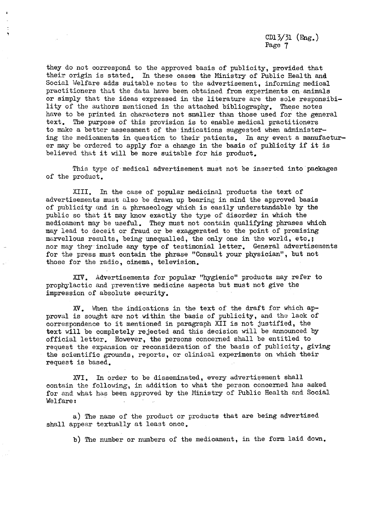CD13/31  $(mg_{\bullet})$ Page 7

they do not correspond to the approved basis of publicity, provided that their origin is stated. In these cases the Ministry of Public Health and Social Welfare adds suitable notes to the advertisement, informing medical practitioners that the data have been obtained from experiments on animals or simply that the ideas expressed in the literature are the sole responsibility of the authors mentioned in the attached bibliography. These notes have to be printed in characters not smaller than those used for the general text. The purpose of this provision is to enable medical practitioners to make a better assessment of the indications suggested when administering the medicaments in question to their patients. In any event a manufacturer may be ordered to apply for a change in the basis of publicity if it is believed that it will be more suitable for his product.

This type of medical advertisement must not be inserted into packages of the product.

XIII. In the case of popular medicinal products the text of advertisements must also be drawn up bearing in mind the approved basis of publicity and in a phraseology which is easily understandable by the public so that it may know exactly the type of disorder in which the medicament may be useful. They must not contain qualifying phrases which may lead to deceit or fraud or be exaggerated to the point of promising marvellous results, being unequalled, the only one in the world, etc.; nor may they include any type of testimonial letter. General advertisements for the press must contain the phrase "Consult your physician", but not those for the radio, cinema, television.

XIV. Advertisements for popular "hygienic" products may refer to prophylactic and preventive medicine aspects but must not give the impression of absolute security.

XV. When the indications in the text of the draft for which approval is sought are not within the basis of publicity, and the lack of correspondence to it mentioned in paragraph XII is not justified, the text will be completely rejected and this decision will be announced by official letter. However, the persons concerned shall be entitled to request the expansion or reconsideration of the basis of publicity, giving the scientific grounds, reports, or clinical experiments on which their request is based.

XVI. In order to be disseminated, every advertisement shall contain the following, in addition to what the person concerned has asked for and what has been approved by the Ministry of Public Health and Social Welfare:

a) The name of the product or products that are being advertised shall appear textually at least once.

b) The number or numbers of the medicament, in the form laid down.